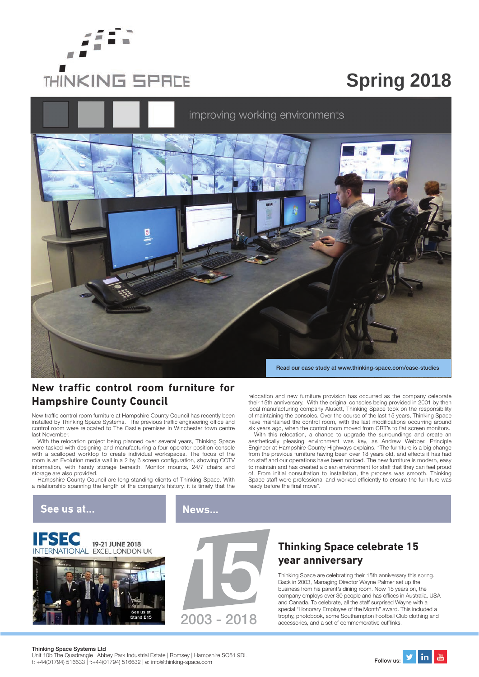

# **Spring 2018**



#### **New traffic control room furniture for Hampshire County Council**

New traffic control room furniture at Hampshire County Council has recently been installed by Thinking Space Systems. The previous traffic engineering office and control room were relocated to The Castle premises in Winchester town centre last November.

With the relocation project being planned over several years, Thinking Space were tasked with designing and manufacturing a four operator position console with a scalloped worktop to create individual workspaces. The focus of the room is an Evolution media wall in a 2 by 6 screen configuration, showing CCTV information, with handy storage beneath. Monitor mounts, 24/7 chairs and storage are also provided.

Hampshire County Council are long-standing clients of Thinking Space. With a relationship spanning the length of the company's history, it is timely that the

> 19-21 JUNE 2018 **EXCEL LONDON UK**

relocation and new furniture provision has occurred as the company celebrate their 15th anniversary. With the original consoles being provided in 2001 by then local manufacturing company Alusett, Thinking Space took on the responsibility of maintaining the consoles. Over the course of the last 15 years, Thinking Space have maintained the control room, with the last modifications occurring around six years ago, when the control room moved from CRT's to flat screen monitors.

With this relocation, a chance to upgrade the surroundings and create an aesthetically pleasing environment was key, as Andrew Webber, Principle Engineer at Hampshire County Highways explains. "The furniture is a big change from the previous furniture having been over 18 years old, and effects it has had on staff and our operations have been noticed. The new furniture is modern, easy to maintain and has created a clean environment for staff that they can feel proud of. From initial consultation to installation, the process was smooth. Thinking Space staff were professional and worked efficiently to ensure the furniture was ready before the final move".

#### See us at...

**IIESEC** 

**News...**



# **Thinking Space celebrate 15 year anniversary**

Thinking Space are celebrating their 15th anniversary this spring. Back in 2003, Managing Director Wayne Palmer set up the business from his parent's dining room. Now 15 years on, the company employs over 30 people and has offices in Australia, USA and Canada. To celebrate, all the staff surprised Wayne with a special "Honorary Employee of the Month" award. This included a trophy, photobook, some Southampton Football Club clothing and  $a$  cories, and a set of commemorative cufflinks.

#### Thinking Space Systems Ltd

Unit 10b The Quadrangle | Abbey Park Industrial Estate | Romsey | Hampshire SO51 9DL Unit 10b The Quadrangle | Abbey Park Industrial Estate | Romsey | Hampshire SO51 9DL<br>t: +44(01794) 516633 | f:+44(01794) 516632 | e: info@thinking-space.com Follow us: **Follow us: Follow us: Perfor**